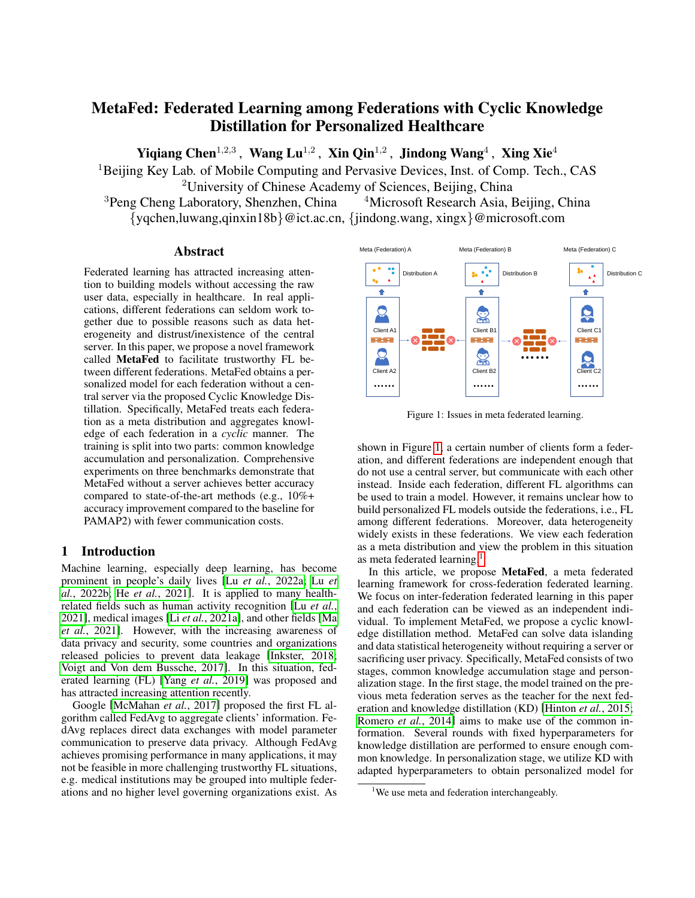# MetaFed: Federated Learning among Federations with Cyclic Knowledge Distillation for Personalized Healthcare

Yiqiang Chen $^{1,2,3}$ , Wang Lu $^{1,2}$ , Xin Qin $^{1,2}$ , Jindong Wang $^4$ , Xing Xie $^4$ 

<sup>1</sup>Beijing Key Lab. of Mobile Computing and Pervasive Devices, Inst. of Comp. Tech., CAS <sup>2</sup>University of Chinese Academy of Sciences, Beijing, China

 $3$ Peng Cheng Laboratory, Shenzhen, China  $4$ Microsoft Research Asia, Beijing, China {yqchen,luwang,qinxin18b}@ict.ac.cn, {jindong.wang, xingx}@microsoft.com

## Abstract

Federated learning has attracted increasing attention to building models without accessing the raw user data, especially in healthcare. In real applications, different federations can seldom work together due to possible reasons such as data heterogeneity and distrust/inexistence of the central server. In this paper, we propose a novel framework called MetaFed to facilitate trustworthy FL between different federations. MetaFed obtains a personalized model for each federation without a central server via the proposed Cyclic Knowledge Distillation. Specifically, MetaFed treats each federation as a meta distribution and aggregates knowledge of each federation in a *cyclic* manner. The training is split into two parts: common knowledge accumulation and personalization. Comprehensive experiments on three benchmarks demonstrate that MetaFed without a server achieves better accuracy compared to state-of-the-art methods (e.g., 10%+ accuracy improvement compared to the baseline for PAMAP2) with fewer communication costs.

## 1 Introduction

Machine learning, especially deep learning, has become prominent in people's daily lives [Lu *et al.*[, 2022a;](#page-6-0) [Lu](#page-6-1) *et al.*[, 2022b;](#page-6-1) He *et al.*[, 2021\]](#page-6-2). It is applied to many healthrelated fields such as human activity recognition [Lu *[et al.](#page-6-3)*, [2021\]](#page-6-3), medical images [Li *et al.*[, 2021a\]](#page-6-4), and other fields [\[Ma](#page-6-5) *et al.*[, 2021\]](#page-6-5). However, with the increasing awareness of data privacy and security, some countries and organizations released policies to prevent data leakage [\[Inkster, 2018;](#page-6-6) [Voigt and Von dem Bussche, 2017\]](#page-6-7). In this situation, federated learning (FL) [Yang *et al.*[, 2019\]](#page-7-0) was proposed and has attracted increasing attention recently.

Google [\[McMahan](#page-6-8) *et al.*, 2017] proposed the first FL algorithm called FedAvg to aggregate clients' information. FedAvg replaces direct data exchanges with model parameter communication to preserve data privacy. Although FedAvg achieves promising performance in many applications, it may not be feasible in more challenging trustworthy FL situations, e.g. medical institutions may be grouped into multiple federations and no higher level governing organizations exist. As

<span id="page-0-0"></span>

Figure 1: Issues in meta federated learning.

shown in Figure [1,](#page-0-0) a certain number of clients form a federation, and different federations are independent enough that do not use a central server, but communicate with each other instead. Inside each federation, different FL algorithms can be used to train a model. However, it remains unclear how to build personalized FL models outside the federations, i.e., FL among different federations. Moreover, data heterogeneity widely exists in these federations. We view each federation as a meta distribution and view the problem in this situation as meta federated learning.<sup>[1](#page-0-1)</sup>

In this article, we propose MetaFed, a meta federated learning framework for cross-federation federated learning. We focus on inter-federation federated learning in this paper and each federation can be viewed as an independent individual. To implement MetaFed, we propose a cyclic knowledge distillation method. MetaFed can solve data islanding and data statistical heterogeneity without requiring a server or sacrificing user privacy. Specifically, MetaFed consists of two stages, common knowledge accumulation stage and personalization stage. In the first stage, the model trained on the previous meta federation serves as the teacher for the next federation and knowledge distillation (KD) [\[Hinton](#page-6-9) *et al.*, 2015; [Romero](#page-6-10) *et al.*, 2014] aims to make use of the common information. Several rounds with fixed hyperparameters for knowledge distillation are performed to ensure enough common knowledge. In personalization stage, we utilize KD with adapted hyperparameters to obtain personalized model for

<span id="page-0-1"></span><sup>&</sup>lt;sup>1</sup>We use meta and federation interchangeably.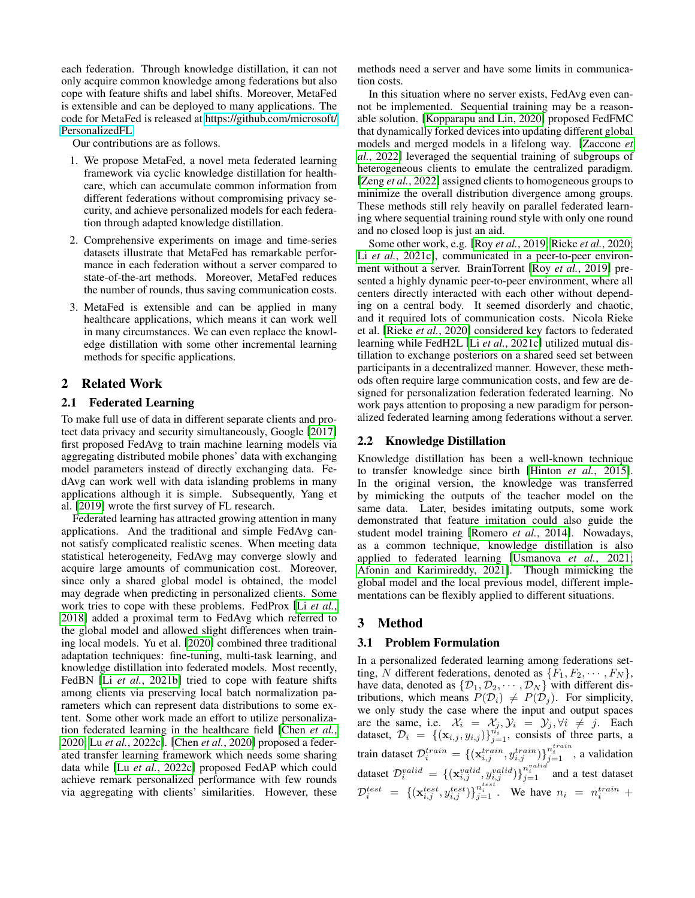each federation. Through knowledge distillation, it can not only acquire common knowledge among federations but also cope with feature shifts and label shifts. Moreover, MetaFed is extensible and can be deployed to many applications. The code for MetaFed is released at [https://github.com/microsoft/](https://github.com/microsoft/PersonalizedFL) [PersonalizedFL.](https://github.com/microsoft/PersonalizedFL)

Our contributions are as follows.

- 1. We propose MetaFed, a novel meta federated learning framework via cyclic knowledge distillation for healthcare, which can accumulate common information from different federations without compromising privacy security, and achieve personalized models for each federation through adapted knowledge distillation.
- 2. Comprehensive experiments on image and time-series datasets illustrate that MetaFed has remarkable performance in each federation without a server compared to state-of-the-art methods. Moreover, MetaFed reduces the number of rounds, thus saving communication costs.
- 3. MetaFed is extensible and can be applied in many healthcare applications, which means it can work well in many circumstances. We can even replace the knowledge distillation with some other incremental learning methods for specific applications.

## 2 Related Work

#### 2.1 Federated Learning

To make full use of data in different separate clients and protect data privacy and security simultaneously, Google [\[2017\]](#page-6-8) first proposed FedAvg to train machine learning models via aggregating distributed mobile phones' data with exchanging model parameters instead of directly exchanging data. FedAvg can work well with data islanding problems in many applications although it is simple. Subsequently, Yang et al. [\[2019\]](#page-7-0) wrote the first survey of FL research.

Federated learning has attracted growing attention in many applications. And the traditional and simple FedAvg cannot satisfy complicated realistic scenes. When meeting data statistical heterogeneity, FedAvg may converge slowly and acquire large amounts of communication cost. Moreover, since only a shared global model is obtained, the model may degrade when predicting in personalized clients. Some work tries to cope with these problems. FedProx [Li *[et al.](#page-6-11)*, [2018\]](#page-6-11) added a proximal term to FedAvg which referred to the global model and allowed slight differences when training local models. Yu et al. [\[2020\]](#page-7-1) combined three traditional adaptation techniques: fine-tuning, multi-task learning, and knowledge distillation into federated models. Most recently, FedBN [Li *et al.*[, 2021b\]](#page-6-12) tried to cope with feature shifts among clients via preserving local batch normalization parameters which can represent data distributions to some extent. Some other work made an effort to utilize personalization federated learning in the healthcare field [\[Chen](#page-6-13) *et al.*, [2020;](#page-6-13) Lu *et al.*[, 2022c\]](#page-6-14). [Chen *et al.*[, 2020\]](#page-6-13) proposed a federated transfer learning framework which needs some sharing data while [Lu *et al.*[, 2022c\]](#page-6-14) proposed FedAP which could achieve remark personalized performance with few rounds via aggregating with clients' similarities. However, these methods need a server and have some limits in communication costs.

In this situation where no server exists, FedAvg even cannot be implemented. Sequential training may be a reasonable solution. [\[Kopparapu and Lin, 2020\]](#page-6-15) proposed FedFMC that dynamically forked devices into updating different global models and merged models in a lifelong way. [\[Zaccone](#page-7-2) *et al.*[, 2022\]](#page-7-2) leveraged the sequential training of subgroups of heterogeneous clients to emulate the centralized paradigm. [Zeng *et al.*[, 2022\]](#page-7-3) assigned clients to homogeneous groups to minimize the overall distribution divergence among groups. These methods still rely heavily on parallel federated learning where sequential training round style with only one round and no closed loop is just an aid.

Some other work, e.g. [Roy *et al.*[, 2019;](#page-6-16) Rieke *et al.*[, 2020;](#page-6-17) Li et al.[, 2021c\]](#page-6-18), communicated in a peer-to-peer environment without a server. BrainTorrent [Roy *et al.*[, 2019\]](#page-6-16) presented a highly dynamic peer-to-peer environment, where all centers directly interacted with each other without depending on a central body. It seemed disorderly and chaotic, and it required lots of communication costs. Nicola Rieke et al. [Rieke *et al.*[, 2020\]](#page-6-17) considered key factors to federated learning while FedH2L [Li *et al.*[, 2021c\]](#page-6-18) utilized mutual distillation to exchange posteriors on a shared seed set between participants in a decentralized manner. However, these methods often require large communication costs, and few are designed for personalization federation federated learning. No work pays attention to proposing a new paradigm for personalized federated learning among federations without a server.

## 2.2 Knowledge Distillation

Knowledge distillation has been a well-known technique to transfer knowledge since birth [Hinton *et al.*[, 2015\]](#page-6-9). In the original version, the knowledge was transferred by mimicking the outputs of the teacher model on the same data. Later, besides imitating outputs, some work demonstrated that feature imitation could also guide the student model training [\[Romero](#page-6-10) *et al.*, 2014]. Nowadays, as a common technique, knowledge distillation is also applied to federated learning [\[Usmanova](#page-6-19) *et al.*, 2021; [Afonin and Karimireddy, 2021\]](#page-6-20). Though mimicking the global model and the local previous model, different implementations can be flexibly applied to different situations.

## 3 Method

#### 3.1 Problem Formulation

In a personalized federated learning among federations setting, N different federations, denoted as  $\{F_1, F_2, \cdots, F_N\}$ , have data, denoted as  $\{\mathcal{D}_1, \mathcal{D}_2, \cdots, \mathcal{D}_N\}$  with different distributions, which means  $P(\mathcal{D}_i) \neq P(\mathcal{D}_j)$ . For simplicity, we only study the case where the input and output spaces are the same, i.e.  $\mathcal{X}_i = \mathcal{X}_j, \mathcal{Y}_i = \mathcal{Y}_j, \forall i \neq j$ . Each dataset,  $\mathcal{D}_i = \{(\mathbf{x}_{i,j}, y_{i,j})\}_{j=1}^{n_i}$ , consists of three parts, a train dataset  $\mathcal{D}_i^{train} = \{(\mathbf{x}_{i,j}^{train}, y_{i,j}^{train})\}_{j=1}^{n_i^{train}}$ , a validation dataset  $\mathcal{D}_i^{valid} = \{(\mathbf{x}_{i,j}^{valid}, y_{i,j}^{valid})\}_{j=1}^{n_i^{valid}}$  and a test dataset  $\mathcal{D}_i^{test} = \{(\mathbf{x}_{i,j}^{test}, y_{i,j}^{test})\}_{j=1}^{n_i^{test}}$ . We have  $n_i = n_i^{train} +$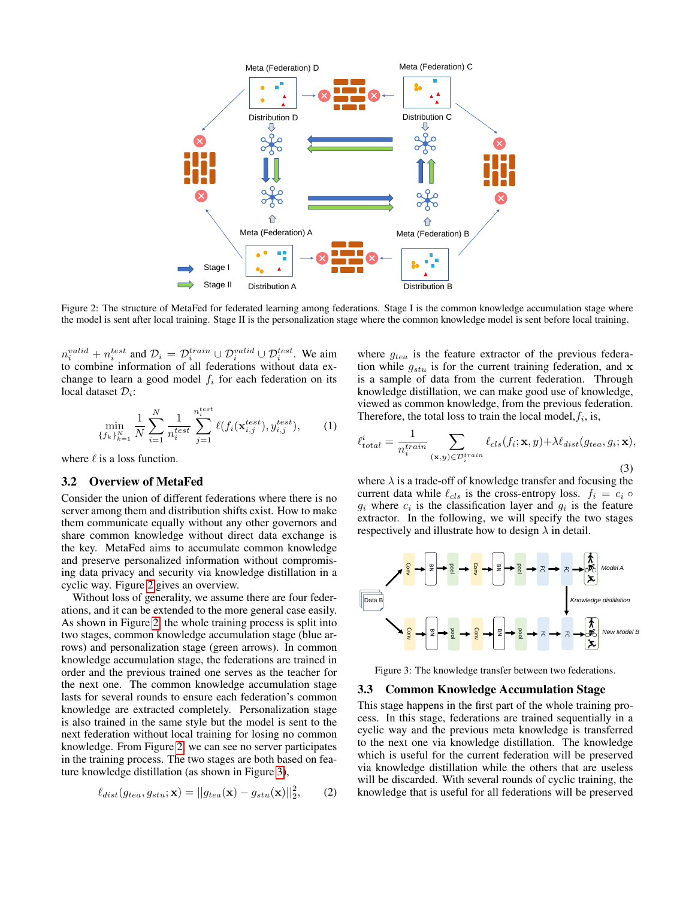<span id="page-2-0"></span>

Figure 2: The structure of MetaFed for federated learning among federations. Stage I is the common knowledge accumulation stage where the model is sent after local training. Stage II is the personalization stage where the common knowledge model is sent before local training.

 $n_i^{valid} + n_i^{test}$  and  $\mathcal{D}_i = \mathcal{D}_i^{train} \cup \mathcal{D}_i^{valid} \cup \mathcal{D}_i^{test}$ . We aim to combine information of all federations without data exchange to learn a good model  $f_i$  for each federation on its local dataset  $\mathcal{D}_i$ :

$$
\min_{\{f_k\}_{k=1}^N} \frac{1}{N} \sum_{i=1}^N \frac{1}{n_i^{test}} \sum_{j=1}^{n_i^{test}} \ell(f_i(\mathbf{x}_{i,j}^{test}), y_{i,j}^{test}), \quad (1)
$$

where  $\ell$  is a loss function.

## 3.2 Overview of MetaFed

Consider the union of different federations where there is no server among them and distribution shifts exist. How to make them communicate equally without any other governors and share common knowledge without direct data exchange is the key. MetaFed aims to accumulate common knowledge and preserve personalized information without compromising data privacy and security via knowledge distillation in a cyclic way. Figure [2](#page-2-0) gives an overview.

Without loss of generality, we assume there are four federations, and it can be extended to the more general case easily. As shown in Figure [2,](#page-2-0) the whole training process is split into two stages, common knowledge accumulation stage (blue arrows) and personalization stage (green arrows). In common knowledge accumulation stage, the federations are trained in order and the previous trained one serves as the teacher for the next one. The common knowledge accumulation stage lasts for several rounds to ensure each federation's common knowledge are extracted completely. Personalization stage is also trained in the same style but the model is sent to the next federation without local training for losing no common knowledge. From Figure [2,](#page-2-0) we can see no server participates in the training process. The two stages are both based on feature knowledge distillation (as shown in Figure [3\)](#page-2-1),

$$
\ell_{dist}(g_{tea}, g_{stu}; \mathbf{x}) = ||g_{tea}(\mathbf{x}) - g_{stu}(\mathbf{x})||_2^2, \qquad (2)
$$

where  $g_{tea}$  is the feature extractor of the previous federation while  $g_{stu}$  is for the current training federation, and x is a sample of data from the current federation. Through knowledge distillation, we can make good use of knowledge, viewed as common knowledge, from the previous federation. Therefore, the total loss to train the local model,  $f_i$ , is,

<span id="page-2-2"></span>
$$
\ell_{total}^{i} = \frac{1}{n_i^{train}} \sum_{(\mathbf{x}, y) \in \mathcal{D}_i^{train}} \ell_{cls}(f_i; \mathbf{x}, y) + \lambda \ell_{dist}(g_{tea}, g_i; \mathbf{x}),
$$
\n(3)

where  $\lambda$  is a trade-off of knowledge transfer and focusing the current data while  $\ell_{cls}$  is the cross-entropy loss.  $f_i = c_i \circ$  $g_i$  where  $c_i$  is the classification layer and  $g_i$  is the feature extractor. In the following, we will specify the two stages respectively and illustrate how to design  $\lambda$  in detail.

<span id="page-2-1"></span>

Figure 3: The knowledge transfer between two federations.

## 3.3 Common Knowledge Accumulation Stage

This stage happens in the first part of the whole training process. In this stage, federations are trained sequentially in a cyclic way and the previous meta knowledge is transferred to the next one via knowledge distillation. The knowledge which is useful for the current federation will be preserved via knowledge distillation while the others that are useless will be discarded. With several rounds of cyclic training, the knowledge that is useful for all federations will be preserved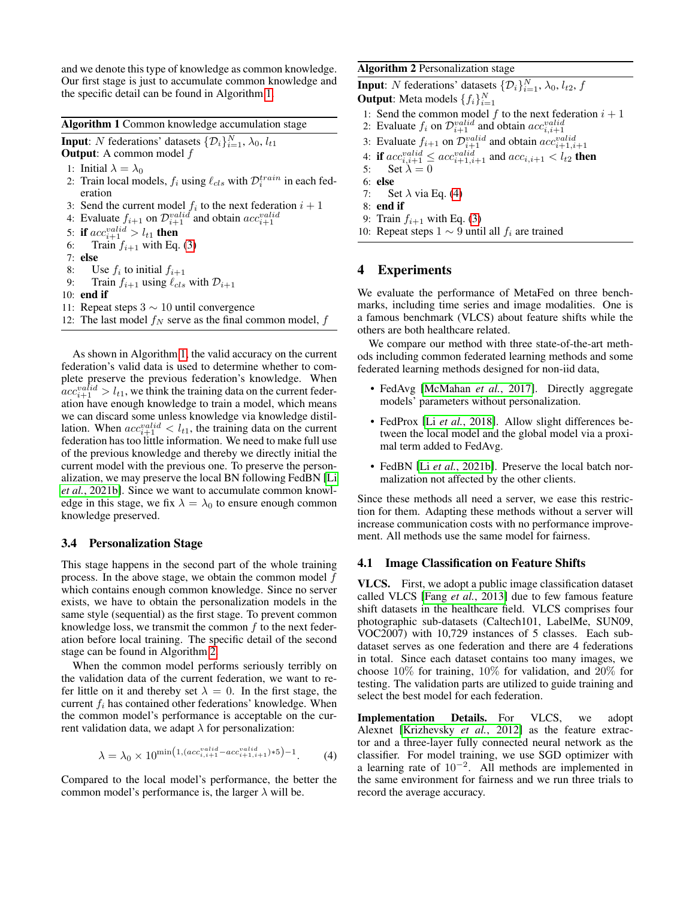and we denote this type of knowledge as common knowledge. Our first stage is just to accumulate common knowledge and the specific detail can be found in Algorithm [1.](#page-3-0)

<span id="page-3-0"></span>Algorithm 1 Common knowledge accumulation stage

**Input**: N federations' datasets  $\{\mathcal{D}_i\}_{i=1}^N$ ,  $\lambda_0$ ,  $l_{t1}$ 

**Output:** A common model  $f$ 

- 1: Initial  $\lambda = \lambda_0$
- 2: Train local models,  $f_i$  using  $\ell_{cls}$  with  $\mathcal{D}_i^{train}$  in each federation
- 3: Send the current model  $f_i$  to the next federation  $i+1$
- 4: Evaluate  $f_{i+1}$  on  $\mathcal{D}_{i+1}^{valid}$  and obtain  $acc_{i+1}^{valid}$
- 5: if  $acc_{i+1}^{valid} > l_{t1}$  then
- 6: Train  $f_{i+1}$  with Eq. [\(3\)](#page-2-2)
- 7: else
- 8: Use  $f_i$  to initial  $f_{i+1}$
- 9: Train  $f_{i+1}$  using  $\ell_{cls}$  with  $\mathcal{D}_{i+1}$
- 10: end if

11: Repeat steps  $3 \sim 10$  until convergence

12: The last model  $f_N$  serve as the final common model,  $f$ 

As shown in Algorithm [1,](#page-3-0) the valid accuracy on the current federation's valid data is used to determine whether to complete preserve the previous federation's knowledge. When  $acc_{i+1}^{valid} > l_{t1}$ , we think the training data on the current federation have enough knowledge to train a model, which means we can discard some unless knowledge via knowledge distillation. When  $acc_{i+1}^{valid} < l_{t1}$ , the training data on the current federation has too little information. We need to make full use of the previous knowledge and thereby we directly initial the current model with the previous one. To preserve the personalization, we may preserve the local BN following FedBN [\[Li](#page-6-12) *et al.*[, 2021b\]](#page-6-12). Since we want to accumulate common knowledge in this stage, we fix  $\lambda = \lambda_0$  to ensure enough common knowledge preserved.

## 3.4 Personalization Stage

This stage happens in the second part of the whole training process. In the above stage, we obtain the common model f which contains enough common knowledge. Since no server exists, we have to obtain the personalization models in the same style (sequential) as the first stage. To prevent common knowledge loss, we transmit the common  $f$  to the next federation before local training. The specific detail of the second stage can be found in Algorithm [2.](#page-3-1)

When the common model performs seriously terribly on the validation data of the current federation, we want to refer little on it and thereby set  $\lambda = 0$ . In the first stage, the current  $f_i$  has contained other federations' knowledge. When the common model's performance is acceptable on the current validation data, we adapt  $\lambda$  for personalization:

$$
\lambda = \lambda_0 \times 10^{\min(1,(acc_{i,i+1}^{valid} - acc_{i+1,i+1}^{valid})*5) - 1}.
$$
 (4)

Compared to the local model's performance, the better the common model's performance is, the larger  $\lambda$  will be.

<span id="page-3-1"></span>Algorithm 2 Personalization stage

**Input**: N federations' datasets  $\{\mathcal{D}_i\}_{i=1}^N$ ,  $\lambda_0$ ,  $l_{t2}$ ,  $f$ **Output**: Meta models  $\{f_i\}_{i=1}^N$ 

- 1: Send the common model  $f$  to the next federation  $i + 1$
- 2: Evaluate  $f_i$  on  $\mathcal{D}_{i+1}^{valid}$  and obtain  $acc_{i,i+1}^{valid}$
- 3: Evaluate  $f_{i+1}$  on  $\mathcal{D}_{i+1}^{valid}$  and obtain  $acc_{i+1,i+1}^{valid}$

4: if 
$$
acc_{i,i+1}^{valid} \leq acc_{i+1,i+1}^{valid}
$$
 and  $acc_{i,i+1} < l_{t2}$  then

- 5: Set  $\lambda = 0$
- 6: else
- 7: Set  $\lambda$  via Eq. [\(4\)](#page-3-2)
- 8: end if
- 9: Train  $f_{i+1}$  with Eq. [\(3\)](#page-2-2)
- 10: Repeat steps  $1 \sim 9$  until all  $f_i$  are trained

# 4 Experiments

We evaluate the performance of MetaFed on three benchmarks, including time series and image modalities. One is a famous benchmark (VLCS) about feature shifts while the others are both healthcare related.

We compare our method with three state-of-the-art methods including common federated learning methods and some federated learning methods designed for non-iid data,

- FedAvg [\[McMahan](#page-6-8) *et al.*, 2017]. Directly aggregate models' parameters without personalization.
- FedProx [Li *et al.*[, 2018\]](#page-6-11). Allow slight differences between the local model and the global model via a proximal term added to FedAvg.
- FedBN [Li *et al.*[, 2021b\]](#page-6-12). Preserve the local batch normalization not affected by the other clients.

Since these methods all need a server, we ease this restriction for them. Adapting these methods without a server will increase communication costs with no performance improvement. All methods use the same model for fairness.

#### 4.1 Image Classification on Feature Shifts

VLCS. First, we adopt a public image classification dataset called VLCS [Fang *et al.*[, 2013\]](#page-6-21) due to few famous feature shift datasets in the healthcare field. VLCS comprises four photographic sub-datasets (Caltech101, LabelMe, SUN09, VOC2007) with 10,729 instances of 5 classes. Each subdataset serves as one federation and there are 4 federations in total. Since each dataset contains too many images, we choose 10% for training, 10% for validation, and 20% for testing. The validation parts are utilized to guide training and select the best model for each federation.

<span id="page-3-2"></span>Implementation Details. For VLCS, we adopt Alexnet [\[Krizhevsky](#page-6-22) *et al.*, 2012] as the feature extractor and a three-layer fully connected neural network as the classifier. For model training, we use SGD optimizer with a learning rate of  $10^{-2}$ . All methods are implemented in the same environment for fairness and we run three trials to record the average accuracy.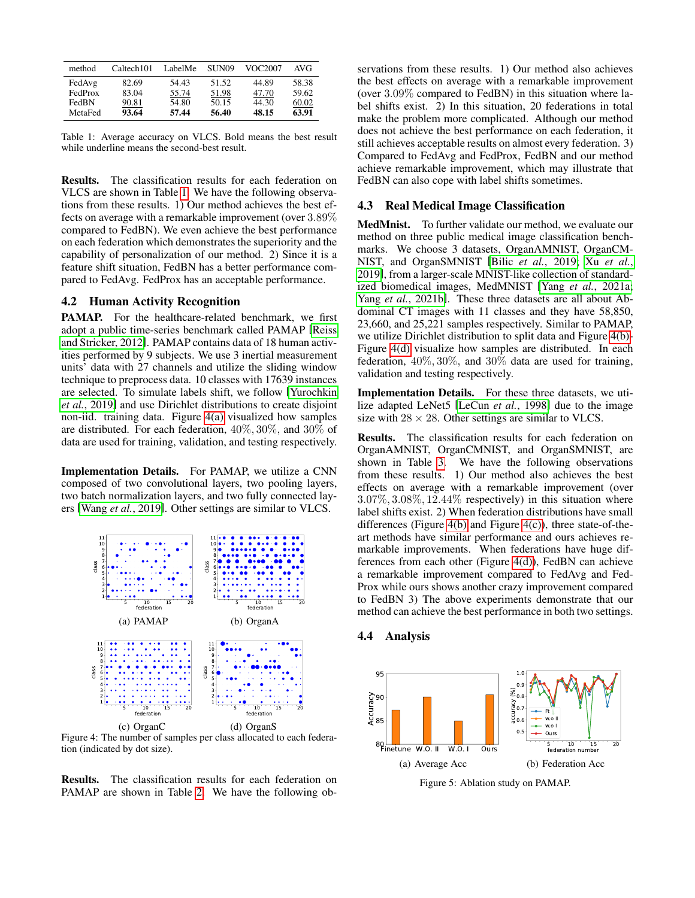<span id="page-4-0"></span>

| method  | Caltech101 | LabelMe | SUN <sub>09</sub> | VOC2007 | AVG   |
|---------|------------|---------|-------------------|---------|-------|
| FedAvg  | 82.69      | 54.43   | 51.52             | 44.89   | 58.38 |
| FedProx | 83.04      | 55.74   | 51.98             | 47.70   | 59.62 |
| FedBN   | 90.81      | 54.80   | 50.15             | 44.30   | 60.02 |
| MetaFed | 93.64      | 57.44   | 56.40             | 48.15   | 63.91 |

Table 1: Average accuracy on VLCS. Bold means the best result while underline means the second-best result.

Results. The classification results for each federation on VLCS are shown in Table [1.](#page-4-0) We have the following observations from these results. 1) Our method achieves the best effects on average with a remarkable improvement (over 3.89% compared to FedBN). We even achieve the best performance on each federation which demonstrates the superiority and the capability of personalization of our method. 2) Since it is a feature shift situation, FedBN has a better performance compared to FedAvg. FedProx has an acceptable performance.

## 4.2 Human Activity Recognition

PAMAP. For the healthcare-related benchmark, we first adopt a public time-series benchmark called PAMAP [\[Reiss](#page-6-23) [and Stricker, 2012\]](#page-6-23). PAMAP contains data of 18 human activities performed by 9 subjects. We use 3 inertial measurement units' data with 27 channels and utilize the sliding window technique to preprocess data. 10 classes with 17639 instances are selected. To simulate labels shift, we follow [\[Yurochkin](#page-7-4) *et al.*[, 2019\]](#page-7-4) and use Dirichlet distributions to create disjoint non-iid. training data. Figure [4\(a\)](#page-4-1) visualized how samples are distributed. For each federation, 40%, 30%, and 30% of data are used for training, validation, and testing respectively.

Implementation Details. For PAMAP, we utilize a CNN composed of two convolutional layers, two pooling layers, two batch normalization layers, and two fully connected layers [Wang *et al.*[, 2019\]](#page-7-5). Other settings are similar to VLCS.

<span id="page-4-2"></span><span id="page-4-1"></span>

<span id="page-4-4"></span><span id="page-4-3"></span>Figure 4: The number of samples per class allocated to each federation (indicated by dot size).

Results. The classification results for each federation on PAMAP are shown in Table [2.](#page-5-0) We have the following observations from these results. 1) Our method also achieves the best effects on average with a remarkable improvement (over 3.09% compared to FedBN) in this situation where label shifts exist. 2) In this situation, 20 federations in total make the problem more complicated. Although our method does not achieve the best performance on each federation, it still achieves acceptable results on almost every federation. 3) Compared to FedAvg and FedProx, FedBN and our method achieve remarkable improvement, which may illustrate that FedBN can also cope with label shifts sometimes.

#### 4.3 Real Medical Image Classification

MedMnist. To further validate our method, we evaluate our method on three public medical image classification benchmarks. We choose 3 datasets, OrganAMNIST, OrganCM-NIST, and OrganSMNIST [Bilic *et al.*[, 2019;](#page-6-24) Xu *[et al.](#page-7-6)*, [2019\]](#page-7-6), from a larger-scale MNIST-like collection of standardized biomedical images, MedMNIST [Yang *et al.*[, 2021a;](#page-7-7) Yang *et al.*[, 2021b\]](#page-7-8). These three datasets are all about Abdominal CT images with 11 classes and they have 58,850, 23,660, and 25,221 samples respectively. Similar to PAMAP, we utilize Dirichlet distribution to split data and Figure [4\(b\)-](#page-4-2) Figure [4\(d\)](#page-4-3) visualize how samples are distributed. In each federation, 40%, 30%, and 30% data are used for training, validation and testing respectively.

Implementation Details. For these three datasets, we utilize adapted LeNet5 [\[LeCun](#page-6-25) *et al.*, 1998] due to the image size with  $28 \times 28$ . Other settings are similar to VLCS.

Results. The classification results for each federation on OrganAMNIST, OrganCMNIST, and OrganSMNIST, are shown in Table [3.](#page-5-1) We have the following observations from these results. 1) Our method also achieves the best effects on average with a remarkable improvement (over  $3.07\%, 3.08\%, 12.44\%$  respectively) in this situation where label shifts exist. 2) When federation distributions have small differences (Figure [4\(b\)](#page-4-2) and Figure [4\(c\)\)](#page-4-4), three state-of-theart methods have similar performance and ours achieves remarkable improvements. When federations have huge differences from each other (Figure [4\(d\)\)](#page-4-3), FedBN can achieve a remarkable improvement compared to FedAvg and Fed-Prox while ours shows another crazy improvement compared to FedBN 3) The above experiments demonstrate that our method can achieve the best performance in both two settings.

## 4.4 Analysis

<span id="page-4-5"></span>

<span id="page-4-6"></span>Figure 5: Ablation study on PAMAP.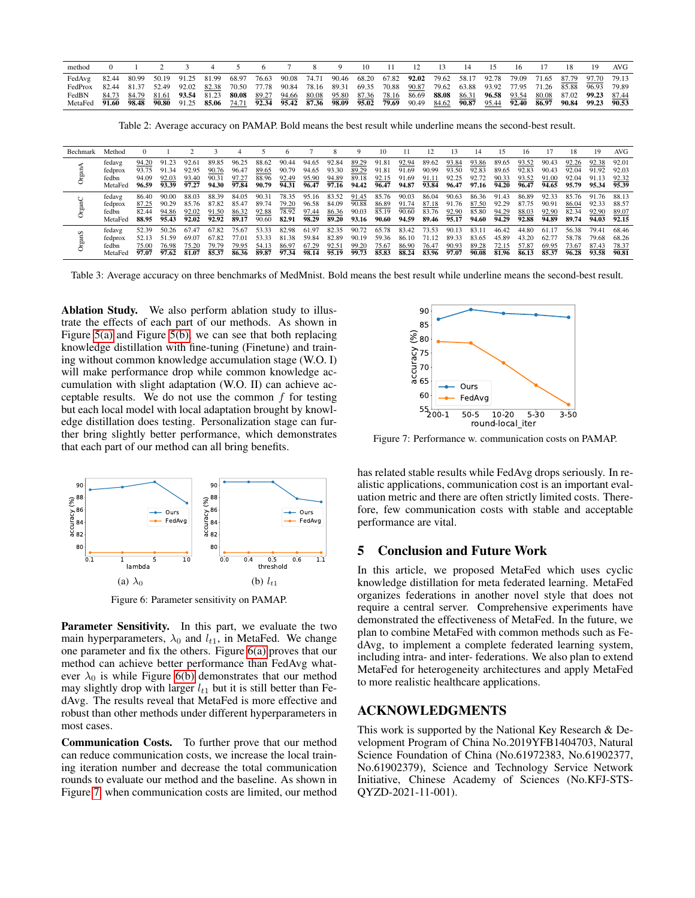<span id="page-5-0"></span>

| method                                                                                                                                |  | 2 3 | 4 5 | 6 7 8 9 |  | $10 \t 11$ | 12 | 13 14 | - 15 | 16 |  | 19 | AVG |
|---------------------------------------------------------------------------------------------------------------------------------------|--|-----|-----|---------|--|------------|----|-------|------|----|--|----|-----|
| FedAvg 82.44 80.99 50.19 91.25 81.99 68.97 76.63 90.08 74.71 90.46 68.20 67.82 92.02 79.62 58.17 92.78 79.09 71.65 87.79 97.70 79.13  |  |     |     |         |  |            |    |       |      |    |  |    |     |
| FedProx 82.44 81.37 52.49 92.02 82.38 70.50 77.78 90.84 78.16 89.31 69.35 70.88 90.87 79.62 63.88 93.92 77.95 71.26 85.88 96.93 79.89 |  |     |     |         |  |            |    |       |      |    |  |    |     |
| FedBN 84.73 84.79 81.61 93.54 81.23 80.08 89.27 94.66 80.08 95.80 87.36 78.16 86.69 88.08 86.31 96.58 93.54 80.08 87.02 99.23 87.44   |  |     |     |         |  |            |    |       |      |    |  |    |     |
| MetaFed 91.60 98.48 90.80 91.25 85.06 74.71 92.34 95.42 87.36 98.09 95.02 79.69 90.49 84.62 90.87 95.44 92.40 86.97 90.84 99.23 90.53 |  |     |     |         |  |            |    |       |      |    |  |    |     |

Table 2: Average accuracy on PAMAP. Bold means the best result while underline means the second-best result.

<span id="page-5-1"></span>

| Bechmark | Method                                | 0                                |                                  |                                  |                                  |                                  |                                  | 6                                |                                  | 8                                | 9                                | 10                               |                                  |                                  |                                  | 14                               | 15                               | 16                               |                                  | 18                               | 19                               | AVG                              |
|----------|---------------------------------------|----------------------------------|----------------------------------|----------------------------------|----------------------------------|----------------------------------|----------------------------------|----------------------------------|----------------------------------|----------------------------------|----------------------------------|----------------------------------|----------------------------------|----------------------------------|----------------------------------|----------------------------------|----------------------------------|----------------------------------|----------------------------------|----------------------------------|----------------------------------|----------------------------------|
| Ō        | fedavg<br>fedprox<br>fedbn<br>MetaFed | 94.20<br>93.75<br>94.09<br>96.59 | 91.23<br>91.34<br>92.03<br>93.39 | 92.61<br>92.95<br>93.40<br>97.27 | 89.85<br>90.76<br>90.31<br>94.30 | 96.25<br>96.4<br>97.27<br>97.84  | 88.62<br>89.65<br>88.96<br>90.79 | 90.44<br>90.79<br>92.49<br>94.31 | 94.65<br>94.65<br>95.90<br>96.47 | 92.84<br>93.30<br>94.89<br>97.16 | 89.29<br>89.29<br>89.18<br>94.42 | 91.81<br>91.81<br>92.15<br>96.47 | 92.94<br>91.69<br>91.69<br>94.87 | 89.62<br>90.99<br>91.11<br>93.84 | 93.84<br>93.50<br>92.25<br>96.47 | 93.86<br>92.83<br>92.72<br>97.16 | 89.65<br>89.65<br>90.33<br>94.20 | 93.52<br>92.83<br>93.52<br>96.47 | 90.43<br>90.43<br>91.00<br>94.65 | 92.26<br>92.04<br>92.04<br>95.79 | 92.38<br>91.92<br>91.13<br>95.34 | 92.01<br>92.03<br>92.32<br>95.39 |
| Ö        | fedavg<br>fedprox<br>fedbn<br>MetaFed | 86.40<br>87.25<br>82.44<br>88.95 | 90.00<br>90.29<br>94.86<br>95.43 | 88.03<br>85.76<br>92.02<br>92.02 | 88.39<br>87.82<br>91.50<br>92.92 | 84.05<br>85.47<br>86.32<br>89.17 | 90.31<br>89.74<br>92.88<br>90.60 | 78.35<br>79.20<br>78.92<br>82.91 | 95.16<br>96.58<br>97.44<br>98.29 | 83.52<br>84.09<br>86.36<br>89.20 | 91.45<br>90.88<br>90.03<br>93.16 | 85.76<br>86.89<br>85.19<br>90.60 | 90.03<br>91.74<br>90.60<br>94.59 | 86.04<br>87.18<br>83.76<br>89.46 | 90.63<br>91.76<br>92.90<br>95.17 | 86.36<br>87.50<br>85.80<br>94.60 | 91.43<br>92.29<br>94.29<br>94.29 | 86.89<br>87.75<br>88.03<br>92.88 | 92.33<br>90.91<br>92.90<br>94.89 | 86.04<br>82.34<br>89.74          | 91.76<br>92.33<br>92.90<br>94.03 | 88.13<br>88.57<br>89.07<br>92.15 |
| s<br>Ö   | fedavg<br>fedprox<br>fedbn<br>MetaFed | 52.39<br>52.13<br>75.00          | 50.26<br>51.59<br>76.98<br>97.62 | 67.4<br>69.07<br>75.20           | 67.82<br>67.82<br>79.79<br>85.37 | 75.67<br>7.0<br>79.95<br>86.36   | 53.33<br>53.33<br>54.13<br>89.87 | 82.98<br>8138<br>86.9<br>97.34   | 61.97<br>59.84<br>67.29<br>98.14 | 82.35<br>82.89<br>92.51<br>95.19 | 90.7<br>90.19<br>99.20<br>99.73  | 65.78<br>59.36<br>75.67<br>85.83 | 83.42<br>86.10<br>86.90<br>88.24 | 73.53<br>76.4<br>83.96           | 90.1<br>89.33<br>90.93<br>97.07  | 83.1<br>83.65<br>89.28<br>90.08  | 46.42<br>45.89<br>81.96          | 44.80<br>43.20<br>57.87<br>86.13 | 61 1<br>62.7<br>69.95<br>85.37   | 56.38<br>58.78<br>73.61<br>96.28 | 79.4<br>79.68<br>87.43<br>93.58  | 68.46<br>68.26<br>78.37<br>90.81 |

Table 3: Average accuracy on three benchmarks of MedMnist. Bold means the best result while underline means the second-best result.

Ablation Study. We also perform ablation study to illustrate the effects of each part of our methods. As shown in Figure [5\(a\)](#page-4-5) and Figure [5\(b\),](#page-4-6) we can see that both replacing knowledge distillation with fine-tuning (Finetune) and training without common knowledge accumulation stage (W.O. I) will make performance drop while common knowledge accumulation with slight adaptation (W.O. II) can achieve acceptable results. We do not use the common  $f$  for testing but each local model with local adaptation brought by knowledge distillation does testing. Personalization stage can further bring slightly better performance, which demonstrates that each part of our method can all bring benefits.

<span id="page-5-2"></span>

<span id="page-5-3"></span>Figure 6: Parameter sensitivity on PAMAP.

Parameter Sensitivity. In this part, we evaluate the two main hyperparameters,  $\lambda_0$  and  $l_{t1}$ , in MetaFed. We change one parameter and fix the others. Figure [6\(a\)](#page-5-2) proves that our method can achieve better performance than FedAvg whatever  $\lambda_0$  is while Figure [6\(b\)](#page-5-3) demonstrates that our method may slightly drop with larger  $l_{t1}$  but it is still better than FedAvg. The results reveal that MetaFed is more effective and robust than other methods under different hyperparameters in most cases.

Communication Costs. To further prove that our method can reduce communication costs, we increase the local training iteration number and decrease the total communication rounds to evaluate our method and the baseline. As shown in Figure [7,](#page-5-4) when communication costs are limited, our method

<span id="page-5-4"></span>

Figure 7: Performance w. communication costs on PAMAP.

has related stable results while FedAvg drops seriously. In realistic applications, communication cost is an important evaluation metric and there are often strictly limited costs. Therefore, few communication costs with stable and acceptable performance are vital.

# 5 Conclusion and Future Work

In this article, we proposed MetaFed which uses cyclic knowledge distillation for meta federated learning. MetaFed organizes federations in another novel style that does not require a central server. Comprehensive experiments have demonstrated the effectiveness of MetaFed. In the future, we plan to combine MetaFed with common methods such as FedAvg, to implement a complete federated learning system, including intra- and inter- federations. We also plan to extend MetaFed for heterogeneity architectures and apply MetaFed to more realistic healthcare applications.

# ACKNOWLEDGMENTS

This work is supported by the National Key Research & Development Program of China No.2019YFB1404703, Natural Science Foundation of China (No.61972383, No.61902377, No.61902379), Science and Technology Service Network Initiative, Chinese Academy of Sciences (No.KFJ-STS-QYZD-2021-11-001).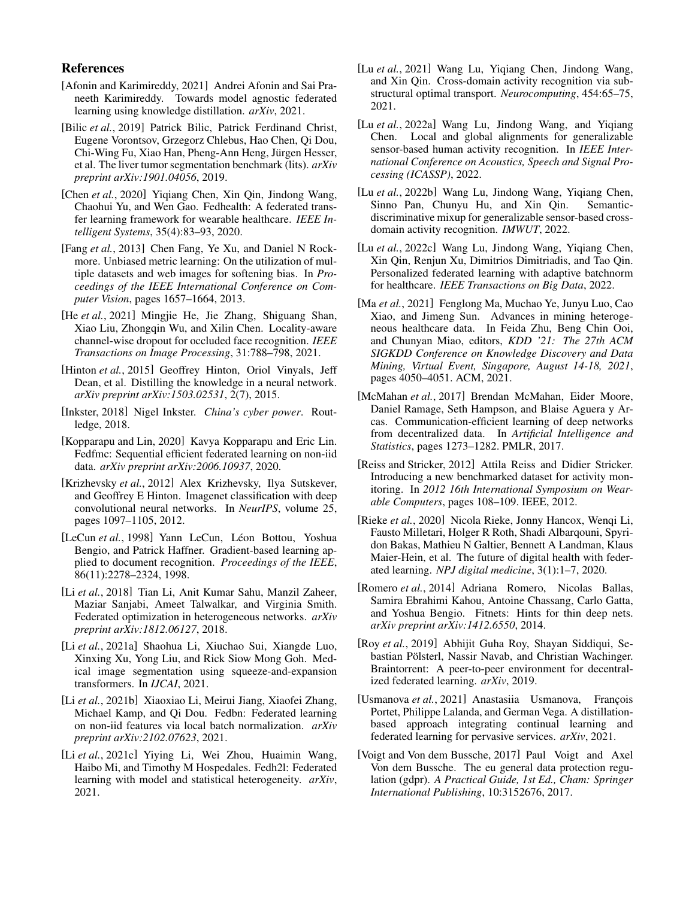# References

- <span id="page-6-20"></span>[Afonin and Karimireddy, 2021] Andrei Afonin and Sai Praneeth Karimireddy. Towards model agnostic federated learning using knowledge distillation. *arXiv*, 2021.
- <span id="page-6-24"></span>[Bilic *et al.*, 2019] Patrick Bilic, Patrick Ferdinand Christ, Eugene Vorontsov, Grzegorz Chlebus, Hao Chen, Qi Dou, Chi-Wing Fu, Xiao Han, Pheng-Ann Heng, Jürgen Hesser, et al. The liver tumor segmentation benchmark (lits). *arXiv preprint arXiv:1901.04056*, 2019.
- <span id="page-6-13"></span>[Chen *et al.*, 2020] Yiqiang Chen, Xin Qin, Jindong Wang, Chaohui Yu, and Wen Gao. Fedhealth: A federated transfer learning framework for wearable healthcare. *IEEE Intelligent Systems*, 35(4):83–93, 2020.
- <span id="page-6-21"></span>[Fang *et al.*, 2013] Chen Fang, Ye Xu, and Daniel N Rockmore. Unbiased metric learning: On the utilization of multiple datasets and web images for softening bias. In *Proceedings of the IEEE International Conference on Computer Vision*, pages 1657–1664, 2013.
- <span id="page-6-2"></span>[He *et al.*, 2021] Mingjie He, Jie Zhang, Shiguang Shan, Xiao Liu, Zhongqin Wu, and Xilin Chen. Locality-aware channel-wise dropout for occluded face recognition. *IEEE Transactions on Image Processing*, 31:788–798, 2021.
- <span id="page-6-9"></span>[Hinton *et al.*, 2015] Geoffrey Hinton, Oriol Vinyals, Jeff Dean, et al. Distilling the knowledge in a neural network. *arXiv preprint arXiv:1503.02531*, 2(7), 2015.
- <span id="page-6-6"></span>[Inkster, 2018] Nigel Inkster. *China's cyber power*. Routledge, 2018.
- <span id="page-6-15"></span>[Kopparapu and Lin, 2020] Kavya Kopparapu and Eric Lin. Fedfmc: Sequential efficient federated learning on non-iid data. *arXiv preprint arXiv:2006.10937*, 2020.
- <span id="page-6-22"></span>[Krizhevsky *et al.*, 2012] Alex Krizhevsky, Ilya Sutskever, and Geoffrey E Hinton. Imagenet classification with deep convolutional neural networks. In *NeurIPS*, volume 25, pages 1097–1105, 2012.
- <span id="page-6-25"></span>[LeCun et al., 1998] Yann LeCun, Léon Bottou, Yoshua Bengio, and Patrick Haffner. Gradient-based learning applied to document recognition. *Proceedings of the IEEE*, 86(11):2278–2324, 1998.
- <span id="page-6-11"></span>[Li *et al.*, 2018] Tian Li, Anit Kumar Sahu, Manzil Zaheer, Maziar Sanjabi, Ameet Talwalkar, and Virginia Smith. Federated optimization in heterogeneous networks. *arXiv preprint arXiv:1812.06127*, 2018.
- <span id="page-6-4"></span>[Li *et al.*, 2021a] Shaohua Li, Xiuchao Sui, Xiangde Luo, Xinxing Xu, Yong Liu, and Rick Siow Mong Goh. Medical image segmentation using squeeze-and-expansion transformers. In *IJCAI*, 2021.
- <span id="page-6-12"></span>[Li *et al.*, 2021b] Xiaoxiao Li, Meirui Jiang, Xiaofei Zhang, Michael Kamp, and Qi Dou. Fedbn: Federated learning on non-iid features via local batch normalization. *arXiv preprint arXiv:2102.07623*, 2021.
- <span id="page-6-18"></span>[Li et al., 2021c] Yiying Li, Wei Zhou, Huaimin Wang, Haibo Mi, and Timothy M Hospedales. Fedh2l: Federated learning with model and statistical heterogeneity. *arXiv*, 2021.
- <span id="page-6-3"></span>[Lu *et al.*, 2021] Wang Lu, Yiqiang Chen, Jindong Wang, and Xin Qin. Cross-domain activity recognition via substructural optimal transport. *Neurocomputing*, 454:65–75, 2021.
- <span id="page-6-0"></span>[Lu et al., 2022a] Wang Lu, Jindong Wang, and Yiqiang Chen. Local and global alignments for generalizable sensor-based human activity recognition. In *IEEE International Conference on Acoustics, Speech and Signal Processing (ICASSP)*, 2022.
- <span id="page-6-1"></span>[Lu et al., 2022b] Wang Lu, Jindong Wang, Yiqiang Chen, Sinno Pan, Chunyu Hu, and Xin Qin. Semanticdiscriminative mixup for generalizable sensor-based crossdomain activity recognition. *IMWUT*, 2022.
- <span id="page-6-14"></span>[Lu *et al.*, 2022c] Wang Lu, Jindong Wang, Yiqiang Chen, Xin Qin, Renjun Xu, Dimitrios Dimitriadis, and Tao Qin. Personalized federated learning with adaptive batchnorm for healthcare. *IEEE Transactions on Big Data*, 2022.
- <span id="page-6-5"></span>[Ma *et al.*, 2021] Fenglong Ma, Muchao Ye, Junyu Luo, Cao Xiao, and Jimeng Sun. Advances in mining heterogeneous healthcare data. In Feida Zhu, Beng Chin Ooi, and Chunyan Miao, editors, *KDD '21: The 27th ACM SIGKDD Conference on Knowledge Discovery and Data Mining, Virtual Event, Singapore, August 14-18, 2021*, pages 4050–4051. ACM, 2021.
- <span id="page-6-8"></span>[McMahan *et al.*, 2017] Brendan McMahan, Eider Moore, Daniel Ramage, Seth Hampson, and Blaise Aguera y Arcas. Communication-efficient learning of deep networks from decentralized data. In *Artificial Intelligence and Statistics*, pages 1273–1282. PMLR, 2017.
- <span id="page-6-23"></span>[Reiss and Stricker, 2012] Attila Reiss and Didier Stricker. Introducing a new benchmarked dataset for activity monitoring. In *2012 16th International Symposium on Wearable Computers*, pages 108–109. IEEE, 2012.
- <span id="page-6-17"></span>[Rieke *et al.*, 2020] Nicola Rieke, Jonny Hancox, Wenqi Li, Fausto Milletari, Holger R Roth, Shadi Albarqouni, Spyridon Bakas, Mathieu N Galtier, Bennett A Landman, Klaus Maier-Hein, et al. The future of digital health with federated learning. *NPJ digital medicine*, 3(1):1–7, 2020.
- <span id="page-6-10"></span>[Romero *et al.*, 2014] Adriana Romero, Nicolas Ballas, Samira Ebrahimi Kahou, Antoine Chassang, Carlo Gatta, and Yoshua Bengio. Fitnets: Hints for thin deep nets. *arXiv preprint arXiv:1412.6550*, 2014.
- <span id="page-6-16"></span>[Roy *et al.*, 2019] Abhijit Guha Roy, Shayan Siddiqui, Sebastian Pölsterl, Nassir Navab, and Christian Wachinger. Braintorrent: A peer-to-peer environment for decentralized federated learning. *arXiv*, 2019.
- <span id="page-6-19"></span>[Usmanova *et al.*, 2021] Anastasiia Usmanova, François Portet, Philippe Lalanda, and German Vega. A distillationbased approach integrating continual learning and federated learning for pervasive services. *arXiv*, 2021.
- <span id="page-6-7"></span>[Voigt and Von dem Bussche, 2017] Paul Voigt and Axel Von dem Bussche. The eu general data protection regulation (gdpr). *A Practical Guide, 1st Ed., Cham: Springer International Publishing*, 10:3152676, 2017.